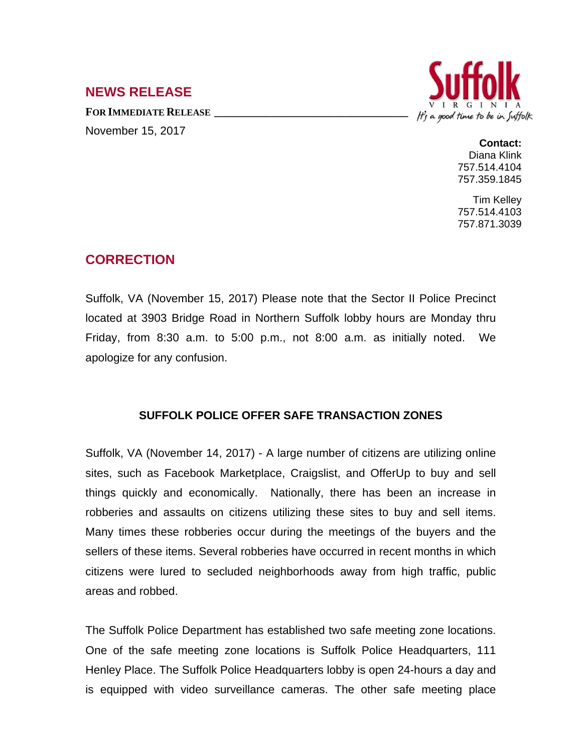## **NEWS RELEASE**

**FOR IMMEDIATE RELEASE \_\_\_\_\_\_\_\_\_\_\_\_\_\_\_\_\_\_\_\_\_\_\_\_\_\_\_\_\_\_\_\_\_\_** November 15, 2017



**Contact:** Diana Klink 757.514.4104 757.359.1845

Tim Kelley 757.514.4103 757.871.3039

## **CORRECTION**

Suffolk, VA (November 15, 2017) Please note that the Sector II Police Precinct located at 3903 Bridge Road in Northern Suffolk lobby hours are Monday thru Friday, from 8:30 a.m. to 5:00 p.m., not 8:00 a.m. as initially noted. We apologize for any confusion.

## **SUFFOLK POLICE OFFER SAFE TRANSACTION ZONES**

Suffolk, VA (November 14, 2017) - A large number of citizens are utilizing online sites, such as Facebook Marketplace, Craigslist, and OfferUp to buy and sell things quickly and economically. Nationally, there has been an increase in robberies and assaults on citizens utilizing these sites to buy and sell items. Many times these robberies occur during the meetings of the buyers and the sellers of these items. Several robberies have occurred in recent months in which citizens were lured to secluded neighborhoods away from high traffic, public areas and robbed.

The Suffolk Police Department has established two safe meeting zone locations. One of the safe meeting zone locations is Suffolk Police Headquarters, 111 Henley Place. The Suffolk Police Headquarters lobby is open 24-hours a day and is equipped with video surveillance cameras. The other safe meeting place